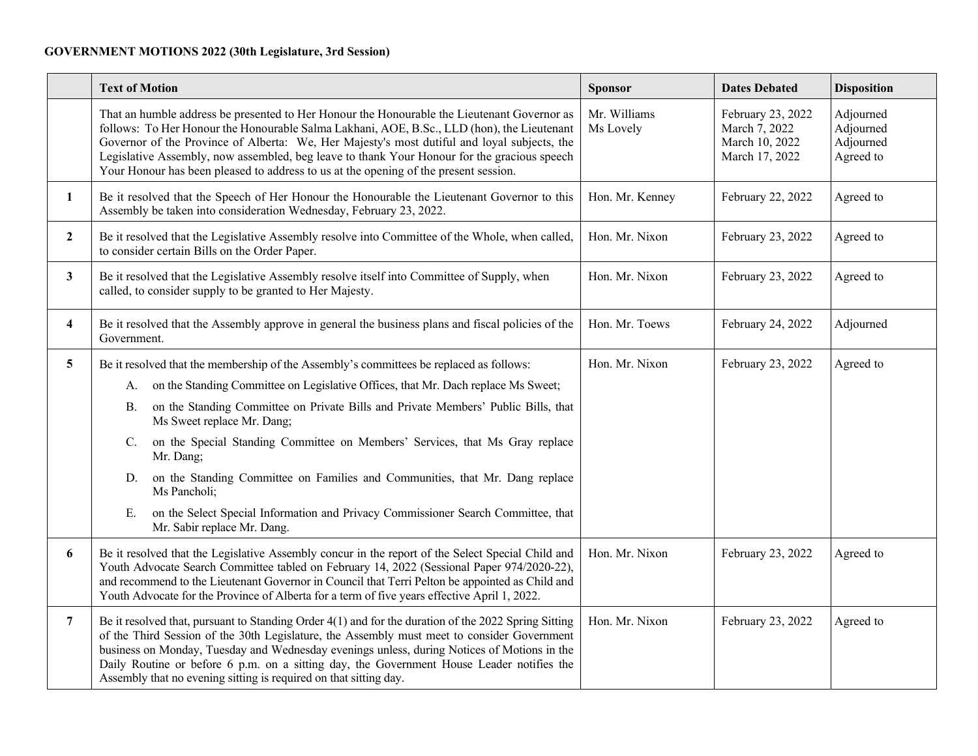## **GOVERNMENT MOTIONS 2022 (30th Legislature, 3rd Session)**

|                | <b>Text of Motion</b>                                                                                                                                                                                                                                                                                                                                                                                                                                                           | <b>Sponsor</b>            | <b>Dates Debated</b>                                                   | <b>Disposition</b>                               |
|----------------|---------------------------------------------------------------------------------------------------------------------------------------------------------------------------------------------------------------------------------------------------------------------------------------------------------------------------------------------------------------------------------------------------------------------------------------------------------------------------------|---------------------------|------------------------------------------------------------------------|--------------------------------------------------|
|                | That an humble address be presented to Her Honour the Honourable the Lieutenant Governor as<br>follows: To Her Honour the Honourable Salma Lakhani, AOE, B.Sc., LLD (hon), the Lieutenant<br>Governor of the Province of Alberta: We, Her Majesty's most dutiful and loyal subjects, the<br>Legislative Assembly, now assembled, beg leave to thank Your Honour for the gracious speech<br>Your Honour has been pleased to address to us at the opening of the present session. | Mr. Williams<br>Ms Lovely | February 23, 2022<br>March 7, 2022<br>March 10, 2022<br>March 17, 2022 | Adjourned<br>Adjourned<br>Adjourned<br>Agreed to |
| $\mathbf{1}$   | Be it resolved that the Speech of Her Honour the Honourable the Lieutenant Governor to this<br>Assembly be taken into consideration Wednesday, February 23, 2022.                                                                                                                                                                                                                                                                                                               | Hon. Mr. Kenney           | February 22, 2022                                                      | Agreed to                                        |
| $\mathbf{2}$   | Be it resolved that the Legislative Assembly resolve into Committee of the Whole, when called,<br>to consider certain Bills on the Order Paper.                                                                                                                                                                                                                                                                                                                                 | Hon. Mr. Nixon            | February 23, 2022                                                      | Agreed to                                        |
| $\mathbf{3}$   | Be it resolved that the Legislative Assembly resolve itself into Committee of Supply, when<br>called, to consider supply to be granted to Her Majesty.                                                                                                                                                                                                                                                                                                                          | Hon. Mr. Nixon            | February 23, 2022                                                      | Agreed to                                        |
| 4              | Be it resolved that the Assembly approve in general the business plans and fiscal policies of the<br>Government.                                                                                                                                                                                                                                                                                                                                                                | Hon. Mr. Toews            | February 24, 2022                                                      | Adjourned                                        |
| 5              | Be it resolved that the membership of the Assembly's committees be replaced as follows:                                                                                                                                                                                                                                                                                                                                                                                         | Hon. Mr. Nixon            | February 23, 2022                                                      | Agreed to                                        |
|                | on the Standing Committee on Legislative Offices, that Mr. Dach replace Ms Sweet;<br>A.                                                                                                                                                                                                                                                                                                                                                                                         |                           |                                                                        |                                                  |
|                | on the Standing Committee on Private Bills and Private Members' Public Bills, that<br>В.<br>Ms Sweet replace Mr. Dang;                                                                                                                                                                                                                                                                                                                                                          |                           |                                                                        |                                                  |
|                | on the Special Standing Committee on Members' Services, that Ms Gray replace<br>C.<br>Mr. Dang;                                                                                                                                                                                                                                                                                                                                                                                 |                           |                                                                        |                                                  |
|                | on the Standing Committee on Families and Communities, that Mr. Dang replace<br>D.<br>Ms Pancholi;                                                                                                                                                                                                                                                                                                                                                                              |                           |                                                                        |                                                  |
|                | on the Select Special Information and Privacy Commissioner Search Committee, that<br>Ε.<br>Mr. Sabir replace Mr. Dang.                                                                                                                                                                                                                                                                                                                                                          |                           |                                                                        |                                                  |
| 6              | Be it resolved that the Legislative Assembly concur in the report of the Select Special Child and<br>Youth Advocate Search Committee tabled on February 14, 2022 (Sessional Paper 974/2020-22),<br>and recommend to the Lieutenant Governor in Council that Terri Pelton be appointed as Child and<br>Youth Advocate for the Province of Alberta for a term of five years effective April 1, 2022.                                                                              | Hon. Mr. Nixon            | February 23, 2022                                                      | Agreed to                                        |
| $\overline{7}$ | Be it resolved that, pursuant to Standing Order 4(1) and for the duration of the 2022 Spring Sitting<br>of the Third Session of the 30th Legislature, the Assembly must meet to consider Government<br>business on Monday, Tuesday and Wednesday evenings unless, during Notices of Motions in the<br>Daily Routine or before 6 p.m. on a sitting day, the Government House Leader notifies the<br>Assembly that no evening sitting is required on that sitting day.            | Hon. Mr. Nixon            | February 23, 2022                                                      | Agreed to                                        |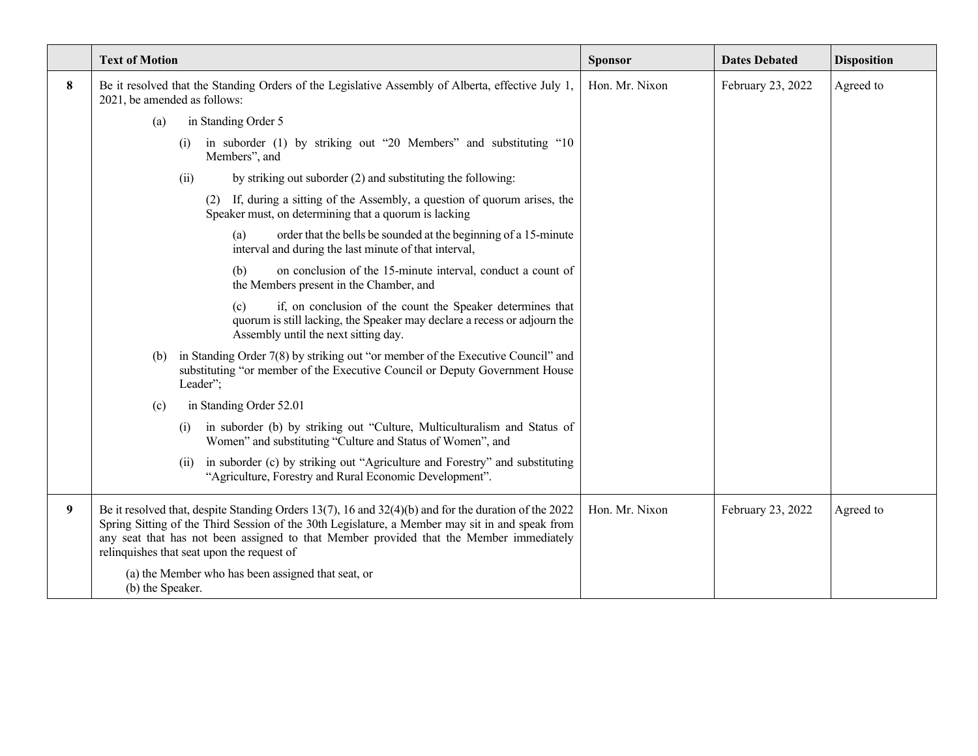|   | <b>Text of Motion</b>                                                                                                                                                                                                                                                                                                                            | <b>Sponsor</b> | <b>Dates Debated</b> | <b>Disposition</b> |
|---|--------------------------------------------------------------------------------------------------------------------------------------------------------------------------------------------------------------------------------------------------------------------------------------------------------------------------------------------------|----------------|----------------------|--------------------|
| 8 | Be it resolved that the Standing Orders of the Legislative Assembly of Alberta, effective July 1,<br>2021, be amended as follows:                                                                                                                                                                                                                | Hon. Mr. Nixon | February 23, 2022    | Agreed to          |
|   | in Standing Order 5<br>(a)                                                                                                                                                                                                                                                                                                                       |                |                      |                    |
|   | in suborder (1) by striking out "20 Members" and substituting "10<br>(i)<br>Members", and                                                                                                                                                                                                                                                        |                |                      |                    |
|   | by striking out suborder (2) and substituting the following:<br>(ii)                                                                                                                                                                                                                                                                             |                |                      |                    |
|   | (2) If, during a sitting of the Assembly, a question of quorum arises, the<br>Speaker must, on determining that a quorum is lacking                                                                                                                                                                                                              |                |                      |                    |
|   | order that the bells be sounded at the beginning of a 15-minute<br>(a)<br>interval and during the last minute of that interval,                                                                                                                                                                                                                  |                |                      |                    |
|   | on conclusion of the 15-minute interval, conduct a count of<br>(b)<br>the Members present in the Chamber, and                                                                                                                                                                                                                                    |                |                      |                    |
|   | if, on conclusion of the count the Speaker determines that<br>(c)<br>quorum is still lacking, the Speaker may declare a recess or adjourn the<br>Assembly until the next sitting day.                                                                                                                                                            |                |                      |                    |
|   | in Standing Order 7(8) by striking out "or member of the Executive Council" and<br>(b)<br>substituting "or member of the Executive Council or Deputy Government House<br>Leader";                                                                                                                                                                |                |                      |                    |
|   | in Standing Order 52.01<br>(c)                                                                                                                                                                                                                                                                                                                   |                |                      |                    |
|   | in suborder (b) by striking out "Culture, Multiculturalism and Status of<br>(i)<br>Women" and substituting "Culture and Status of Women", and                                                                                                                                                                                                    |                |                      |                    |
|   | in suborder (c) by striking out "Agriculture and Forestry" and substituting<br>(ii)<br>"Agriculture, Forestry and Rural Economic Development".                                                                                                                                                                                                   |                |                      |                    |
| 9 | Be it resolved that, despite Standing Orders 13(7), 16 and 32(4)(b) and for the duration of the 2022<br>Spring Sitting of the Third Session of the 30th Legislature, a Member may sit in and speak from<br>any seat that has not been assigned to that Member provided that the Member immediately<br>relinquishes that seat upon the request of | Hon. Mr. Nixon | February 23, 2022    | Agreed to          |
|   | (a) the Member who has been assigned that seat, or<br>(b) the Speaker.                                                                                                                                                                                                                                                                           |                |                      |                    |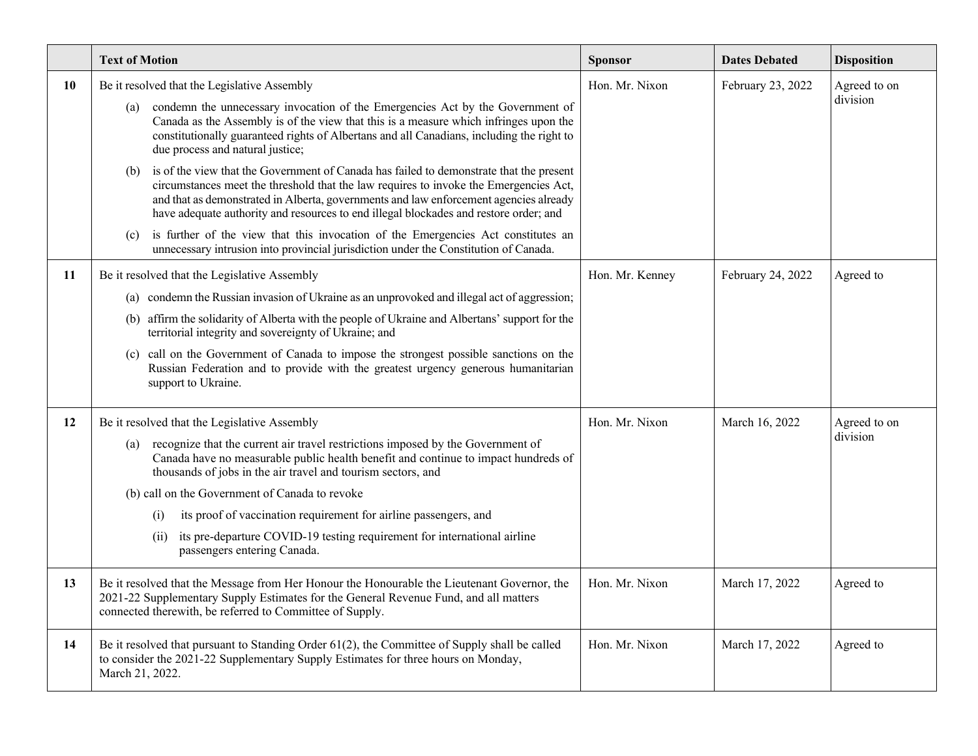|    | <b>Text of Motion</b>                                                                                                                                                                                                                                                                                                                                                                                                                                                                                                                        | <b>Sponsor</b>  | <b>Dates Debated</b> | <b>Disposition</b>       |
|----|----------------------------------------------------------------------------------------------------------------------------------------------------------------------------------------------------------------------------------------------------------------------------------------------------------------------------------------------------------------------------------------------------------------------------------------------------------------------------------------------------------------------------------------------|-----------------|----------------------|--------------------------|
| 10 | Be it resolved that the Legislative Assembly<br>condemn the unnecessary invocation of the Emergencies Act by the Government of<br>(a)<br>Canada as the Assembly is of the view that this is a measure which infringes upon the<br>constitutionally guaranteed rights of Albertans and all Canadians, including the right to<br>due process and natural justice;<br>is of the view that the Government of Canada has failed to demonstrate that the present<br>(b)                                                                            | Hon. Mr. Nixon  | February 23, 2022    | Agreed to on<br>division |
|    | circumstances meet the threshold that the law requires to invoke the Emergencies Act,<br>and that as demonstrated in Alberta, governments and law enforcement agencies already<br>have adequate authority and resources to end illegal blockades and restore order; and<br>is further of the view that this invocation of the Emergencies Act constitutes an<br>(c)<br>unnecessary intrusion into provincial jurisdiction under the Constitution of Canada.                                                                                  |                 |                      |                          |
| 11 | Be it resolved that the Legislative Assembly<br>(a) condemn the Russian invasion of Ukraine as an unprovoked and illegal act of aggression;<br>(b) affirm the solidarity of Alberta with the people of Ukraine and Albertans' support for the<br>territorial integrity and sovereignty of Ukraine; and<br>(c) call on the Government of Canada to impose the strongest possible sanctions on the<br>Russian Federation and to provide with the greatest urgency generous humanitarian<br>support to Ukraine.                                 | Hon. Mr. Kenney | February 24, 2022    | Agreed to                |
| 12 | Be it resolved that the Legislative Assembly<br>recognize that the current air travel restrictions imposed by the Government of<br>(a)<br>Canada have no measurable public health benefit and continue to impact hundreds of<br>thousands of jobs in the air travel and tourism sectors, and<br>(b) call on the Government of Canada to revoke<br>its proof of vaccination requirement for airline passengers, and<br>(i)<br>its pre-departure COVID-19 testing requirement for international airline<br>(ii)<br>passengers entering Canada. | Hon. Mr. Nixon  | March 16, 2022       | Agreed to on<br>division |
| 13 | Be it resolved that the Message from Her Honour the Honourable the Lieutenant Governor, the<br>2021-22 Supplementary Supply Estimates for the General Revenue Fund, and all matters<br>connected therewith, be referred to Committee of Supply.                                                                                                                                                                                                                                                                                              | Hon. Mr. Nixon  | March 17, 2022       | Agreed to                |
| 14 | Be it resolved that pursuant to Standing Order 61(2), the Committee of Supply shall be called<br>to consider the 2021-22 Supplementary Supply Estimates for three hours on Monday,<br>March 21, 2022.                                                                                                                                                                                                                                                                                                                                        | Hon. Mr. Nixon  | March 17, 2022       | Agreed to                |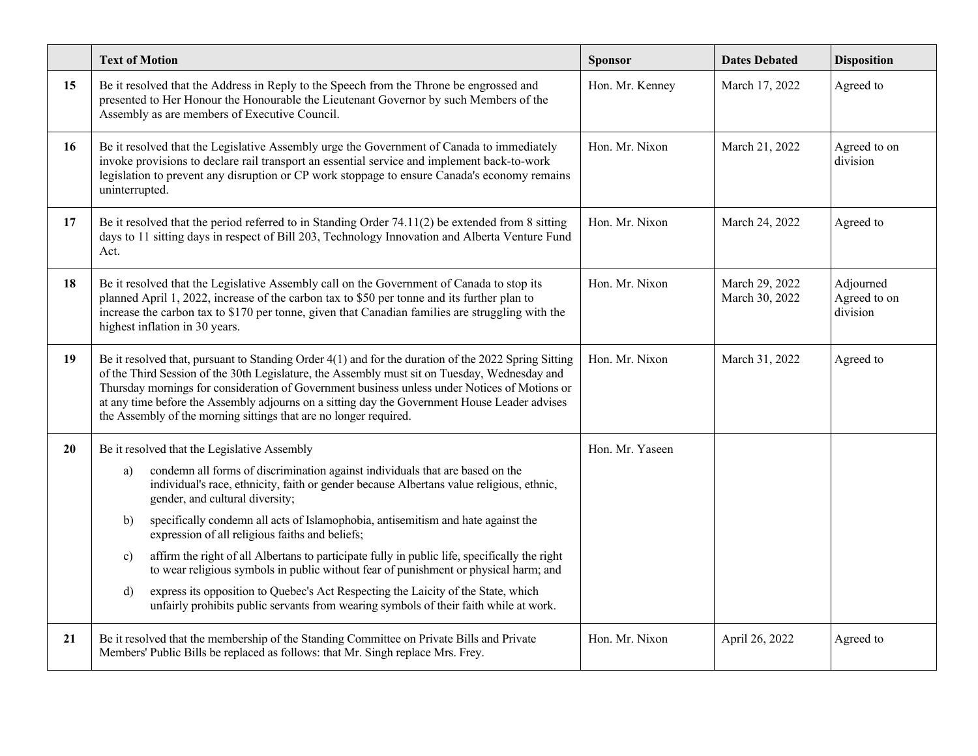|    | <b>Text of Motion</b>                                                                                                                                                                                                                                                                                                                                                                                                                                                        | Sponsor         | <b>Dates Debated</b>             | <b>Disposition</b>                    |
|----|------------------------------------------------------------------------------------------------------------------------------------------------------------------------------------------------------------------------------------------------------------------------------------------------------------------------------------------------------------------------------------------------------------------------------------------------------------------------------|-----------------|----------------------------------|---------------------------------------|
| 15 | Be it resolved that the Address in Reply to the Speech from the Throne be engrossed and<br>presented to Her Honour the Honourable the Lieutenant Governor by such Members of the<br>Assembly as are members of Executive Council.                                                                                                                                                                                                                                            | Hon. Mr. Kenney | March 17, 2022                   | Agreed to                             |
| 16 | Be it resolved that the Legislative Assembly urge the Government of Canada to immediately<br>invoke provisions to declare rail transport an essential service and implement back-to-work<br>legislation to prevent any disruption or CP work stoppage to ensure Canada's economy remains<br>uninterrupted.                                                                                                                                                                   | Hon. Mr. Nixon  | March 21, 2022                   | Agreed to on<br>division              |
| 17 | Be it resolved that the period referred to in Standing Order $74.11(2)$ be extended from 8 sitting<br>days to 11 sitting days in respect of Bill 203, Technology Innovation and Alberta Venture Fund<br>Act.                                                                                                                                                                                                                                                                 | Hon. Mr. Nixon  | March 24, 2022                   | Agreed to                             |
| 18 | Be it resolved that the Legislative Assembly call on the Government of Canada to stop its<br>planned April 1, 2022, increase of the carbon tax to \$50 per tonne and its further plan to<br>increase the carbon tax to \$170 per tonne, given that Canadian families are struggling with the<br>highest inflation in 30 years.                                                                                                                                               | Hon. Mr. Nixon  | March 29, 2022<br>March 30, 2022 | Adjourned<br>Agreed to on<br>division |
| 19 | Be it resolved that, pursuant to Standing Order 4(1) and for the duration of the 2022 Spring Sitting<br>of the Third Session of the 30th Legislature, the Assembly must sit on Tuesday, Wednesday and<br>Thursday mornings for consideration of Government business unless under Notices of Motions or<br>at any time before the Assembly adjourns on a sitting day the Government House Leader advises<br>the Assembly of the morning sittings that are no longer required. | Hon. Mr. Nixon  | March 31, 2022                   | Agreed to                             |
| 20 | Be it resolved that the Legislative Assembly                                                                                                                                                                                                                                                                                                                                                                                                                                 | Hon. Mr. Yaseen |                                  |                                       |
|    | condemn all forms of discrimination against individuals that are based on the<br>a)<br>individual's race, ethnicity, faith or gender because Albertans value religious, ethnic,<br>gender, and cultural diversity;                                                                                                                                                                                                                                                           |                 |                                  |                                       |
|    | specifically condemn all acts of Islamophobia, antisemitism and hate against the<br>b)<br>expression of all religious faiths and beliefs;                                                                                                                                                                                                                                                                                                                                    |                 |                                  |                                       |
|    | affirm the right of all Albertans to participate fully in public life, specifically the right<br>$\mathbf{c}$<br>to wear religious symbols in public without fear of punishment or physical harm; and                                                                                                                                                                                                                                                                        |                 |                                  |                                       |
|    | express its opposition to Quebec's Act Respecting the Laicity of the State, which<br>d)<br>unfairly prohibits public servants from wearing symbols of their faith while at work.                                                                                                                                                                                                                                                                                             |                 |                                  |                                       |
| 21 | Be it resolved that the membership of the Standing Committee on Private Bills and Private<br>Members' Public Bills be replaced as follows: that Mr. Singh replace Mrs. Frey.                                                                                                                                                                                                                                                                                                 | Hon. Mr. Nixon  | April 26, 2022                   | Agreed to                             |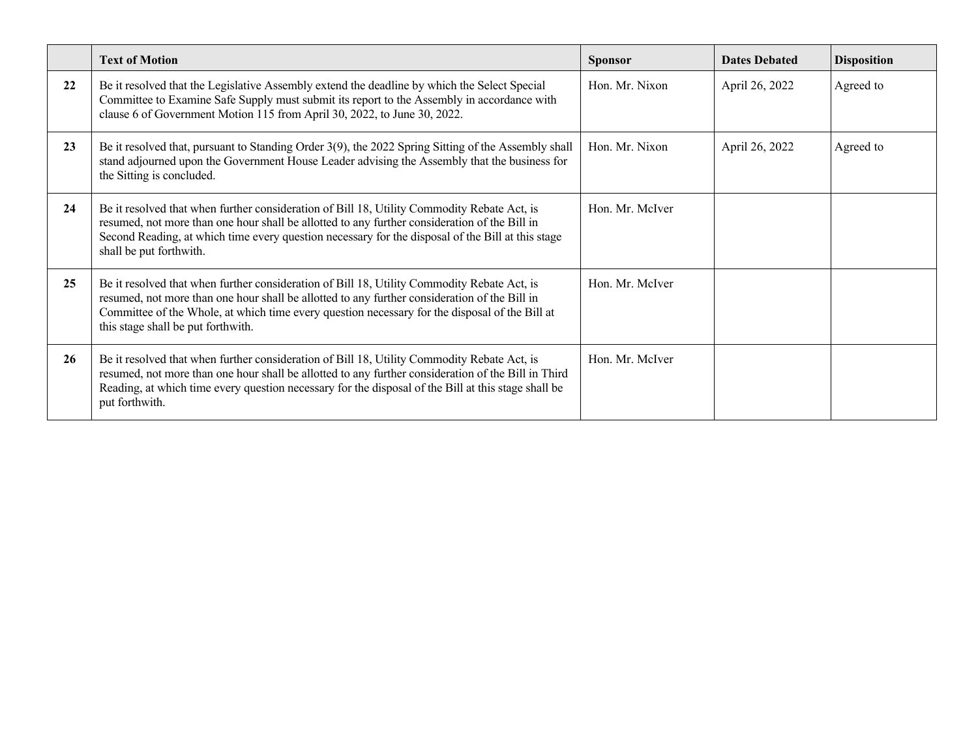|    | <b>Text of Motion</b>                                                                                                                                                                                                                                                                                                                                   | <b>Sponsor</b>  | <b>Dates Debated</b> | <b>Disposition</b> |
|----|---------------------------------------------------------------------------------------------------------------------------------------------------------------------------------------------------------------------------------------------------------------------------------------------------------------------------------------------------------|-----------------|----------------------|--------------------|
| 22 | Be it resolved that the Legislative Assembly extend the deadline by which the Select Special<br>Committee to Examine Safe Supply must submit its report to the Assembly in accordance with<br>clause 6 of Government Motion 115 from April 30, 2022, to June 30, 2022.                                                                                  | Hon. Mr. Nixon  | April 26, 2022       | Agreed to          |
| 23 | Be it resolved that, pursuant to Standing Order 3(9), the 2022 Spring Sitting of the Assembly shall<br>stand adjourned upon the Government House Leader advising the Assembly that the business for<br>the Sitting is concluded.                                                                                                                        | Hon. Mr. Nixon  | April 26, 2022       | Agreed to          |
| 24 | Be it resolved that when further consideration of Bill 18, Utility Commodity Rebate Act, is<br>resumed, not more than one hour shall be allotted to any further consideration of the Bill in<br>Second Reading, at which time every question necessary for the disposal of the Bill at this stage<br>shall be put forthwith.                            | Hon. Mr. McIver |                      |                    |
| 25 | Be it resolved that when further consideration of Bill 18, Utility Commodity Rebate Act, is<br>Hon, Mr. McIver<br>resumed, not more than one hour shall be allotted to any further consideration of the Bill in<br>Committee of the Whole, at which time every question necessary for the disposal of the Bill at<br>this stage shall be put forthwith. |                 |                      |                    |
| 26 | Be it resolved that when further consideration of Bill 18, Utility Commodity Rebate Act, is<br>resumed, not more than one hour shall be allotted to any further consideration of the Bill in Third<br>Reading, at which time every question necessary for the disposal of the Bill at this stage shall be<br>put forthwith.                             | Hon. Mr. McIver |                      |                    |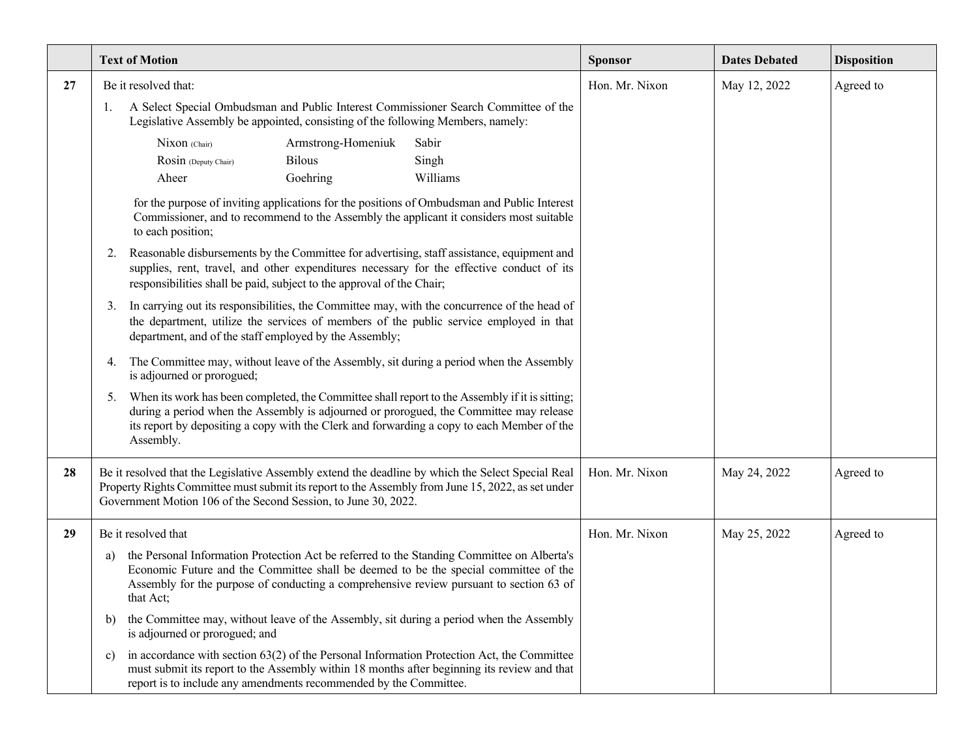|    | <b>Text of Motion</b>                                                                                                                                                                                                                                                                            |                                                 |                                                                                                                                                                                                                                                                                        | <b>Sponsor</b> | <b>Dates Debated</b> | <b>Disposition</b> |
|----|--------------------------------------------------------------------------------------------------------------------------------------------------------------------------------------------------------------------------------------------------------------------------------------------------|-------------------------------------------------|----------------------------------------------------------------------------------------------------------------------------------------------------------------------------------------------------------------------------------------------------------------------------------------|----------------|----------------------|--------------------|
| 27 | Be it resolved that:                                                                                                                                                                                                                                                                             |                                                 |                                                                                                                                                                                                                                                                                        | Hon. Mr. Nixon | May 12, 2022         | Agreed to          |
|    | A Select Special Ombudsman and Public Interest Commissioner Search Committee of the<br>1.<br>Legislative Assembly be appointed, consisting of the following Members, namely:                                                                                                                     |                                                 |                                                                                                                                                                                                                                                                                        |                |                      |                    |
|    | Nixon (Chair)<br>Rosin (Deputy Chair)<br>Aheer                                                                                                                                                                                                                                                   | Armstrong-Homeniuk<br><b>Bilous</b><br>Goehring | Sabir<br>Singh<br>Williams                                                                                                                                                                                                                                                             |                |                      |                    |
|    | for the purpose of inviting applications for the positions of Ombudsman and Public Interest<br>Commissioner, and to recommend to the Assembly the applicant it considers most suitable<br>to each position;                                                                                      |                                                 |                                                                                                                                                                                                                                                                                        |                |                      |                    |
|    | Reasonable disbursements by the Committee for advertising, staff assistance, equipment and<br>2.<br>supplies, rent, travel, and other expenditures necessary for the effective conduct of its<br>responsibilities shall be paid, subject to the approval of the Chair;                           |                                                 |                                                                                                                                                                                                                                                                                        |                |                      |                    |
|    | In carrying out its responsibilities, the Committee may, with the concurrence of the head of<br>3.<br>the department, utilize the services of members of the public service employed in that<br>department, and of the staff employed by the Assembly;                                           |                                                 |                                                                                                                                                                                                                                                                                        |                |                      |                    |
|    | The Committee may, without leave of the Assembly, sit during a period when the Assembly<br>4.<br>is adjourned or prorogued;                                                                                                                                                                      |                                                 |                                                                                                                                                                                                                                                                                        |                |                      |                    |
|    | 5.<br>Assembly.                                                                                                                                                                                                                                                                                  |                                                 | When its work has been completed, the Committee shall report to the Assembly if it is sitting;<br>during a period when the Assembly is adjourned or prorogued, the Committee may release<br>its report by depositing a copy with the Clerk and forwarding a copy to each Member of the |                |                      |                    |
| 28 | Be it resolved that the Legislative Assembly extend the deadline by which the Select Special Real<br>Property Rights Committee must submit its report to the Assembly from June 15, 2022, as set under<br>Government Motion 106 of the Second Session, to June 30, 2022.                         |                                                 | Hon. Mr. Nixon                                                                                                                                                                                                                                                                         | May 24, 2022   | Agreed to            |                    |
| 29 | Be it resolved that                                                                                                                                                                                                                                                                              |                                                 | Hon. Mr. Nixon                                                                                                                                                                                                                                                                         | May 25, 2022   | Agreed to            |                    |
|    | the Personal Information Protection Act be referred to the Standing Committee on Alberta's<br>a)<br>Economic Future and the Committee shall be deemed to be the special committee of the<br>Assembly for the purpose of conducting a comprehensive review pursuant to section 63 of<br>that Act; |                                                 |                                                                                                                                                                                                                                                                                        |                |                      |                    |
|    | b)<br>is adjourned or prorogued; and                                                                                                                                                                                                                                                             |                                                 | the Committee may, without leave of the Assembly, sit during a period when the Assembly                                                                                                                                                                                                |                |                      |                    |
|    | in accordance with section $63(2)$ of the Personal Information Protection Act, the Committee<br>c)<br>must submit its report to the Assembly within 18 months after beginning its review and that<br>report is to include any amendments recommended by the Committee.                           |                                                 |                                                                                                                                                                                                                                                                                        |                |                      |                    |